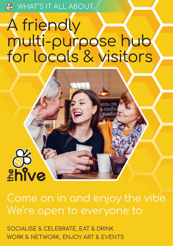**S** WHAT'S IT ALL ABOUT

# A friendly multi-purpose hub for locals & visitors



SOCIALISE & CELEBRATE, EAT & DRINK WORK & NETWORK, ENJOY ART & EVENTS

ëhive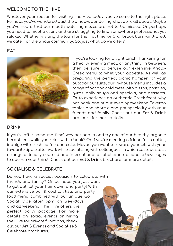# **WELCOME TO THE HIVE**

Whatever your reason for visiting The Hive today, you've come to the right place. Perhaps you've wandered past the window, wondering what we're all about. Maybe you've heard that our mouth-watering mezes are not to be missed. Or perhaps you need to meet a client and are struggling to find somewhere professional yet relaxed. Whether visiting the town for the first time, or Cranbrook born-and-bred, we cater for the whole community. So, just what do we offer?

## **EAT**



If you're looking for a light lunch, hankering for a hearty evening meal, or anything in between, then be sure to peruse our extensive Anglo-Greek menu to whet your appetite. As well as preparing the perfect picnic hamper for your outdoor pursuits, our in-house menu includes a range of hot and cold meze, pita pizzas, pastries, gyros, daily soups and specials, and desserts. Or to experience an authentic Greek feast, why not book one of our evening/weekend Taverna tables and share a one-pot speciality with your friends and family. Check out our **Eat & Drink** brochure for more details.

#### **DRINK**

If you're after some 'me-time', why not pop in and try one of our healthy, organic herbal teas while you relax with a book? Or if you're meeting a friend for a natter, indulge with fresh coffee and cake. Maybe you want to reward yourself with your favourite tipple after work while socialising with colleagues, in which case, we stock a range of locally-sourced and international alcoholic/non-alcoholic beverages to quench your thirst. Check out our **Eat & Drink** brochure for more details.

#### **SOCIALISE & CELEBRATE**

Do you have a special occasion to celebrate with friends and family? Or perhaps you just want to get out, let your hair down and party! With our extensive bar & cocktail lists and party food menu, combined with our unique 'Go Social' vibe after 5pm on weekdays and all weekend, The Hive offers the perfect party package. For more details on social events or hiring the Hive for private functions, check out our **Art & Events** and **Socialise & Celebrate** brochures.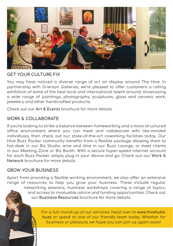

## **GET YOUR CULTURE FIX**

You may have noticed a diverse range of art on display around The Hive. In partnership with Grierson Galleries, we're pleased to offer customers a rolling exhibition of some of the best local and international talent around, showcasing a wide range of paintings, photography, sculptures, glass and ceramic work, jewellery and other handcrafted products.

Check out our **Art & Events** brochure for more details.

## **WORK & COLLABORATE**

If you're looking to strike a balance between homeworking and a more structured office environment where you can meet and collaborate with like-minded individuals, then check out our state-of-the-art coworking facilities today. Our Hive Buzz Packer community benefits from a flexible package allowing them to hot-desk in our Biz Studio, wine and dine in our Buzz Lounge, or meet clients in our Meeting Zone or Biz Booth. With a secure hyper-speed internet account for each Buzz Packer, simply plug in your device and go. Check out our **Work & Network** brochure for more details.

#### **GROW YOUR BUSINESS**

Apart from providing a flexible working environment, we also offer an extensive range of resources to help you grow your business. These include regular

> networking sessions, business workshops covering a range of topics, and access to invaluable advice and funding opportunities. Check out our **Business Resources** brochure for more details.

> > For a full round-up of our services, head over to **www.hivehubs. buzz** or speak to one of our friendly team today. Whether for business or pleasure, we hope you can join us again soon!